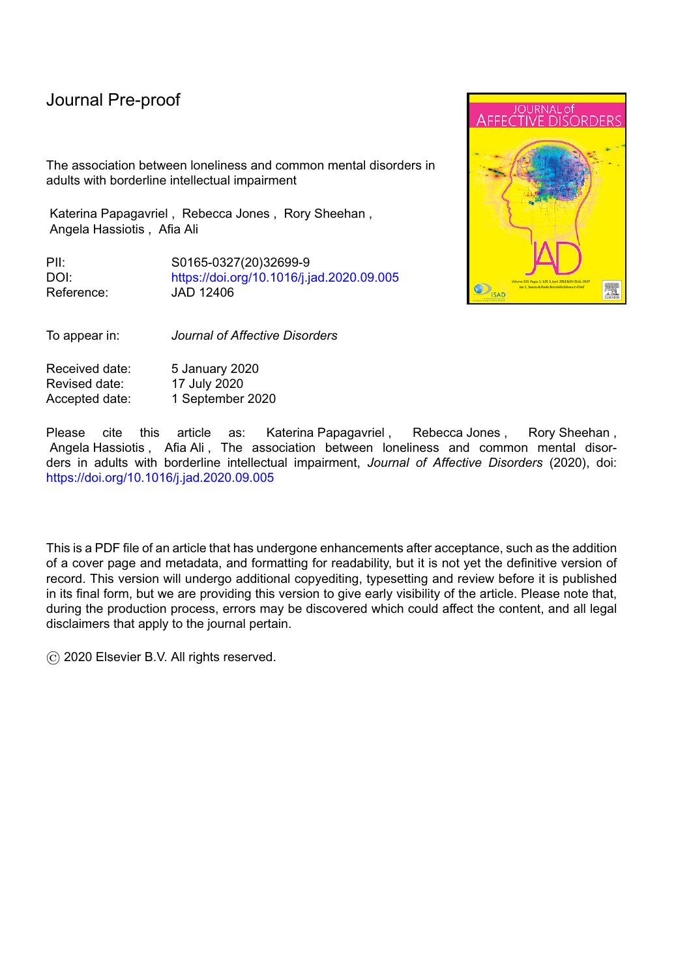# Journal Pre-proof

The association between loneliness and common mental disorders in adults with borderline intellectual impairment

Katerina Papagavriel , Rebecca Jones , Rory Sheehan , Angela Hassiotis , Afia Ali

PII: S0165-0327(20)32699-9 DOI: <https://doi.org/10.1016/j.jad.2020.09.005> Reference: JAD 12406

**JOURNAL** of AFFF

To appear in: *Journal of Affective Disorders*

Received date: 5 January 2020 Revised date: 17 July 2020 Accepted date: 1 September 2020

Please cite this article as: Katerina-Papagavriel, Rebecca-Jones, Rory-Sheehan, Angela Hassiotis , Afia Ali , The association between loneliness and common mental disorders in adults with borderline intellectual impairment, *Journal of Affective Disorders* (2020), doi: <https://doi.org/10.1016/j.jad.2020.09.005>

This is a PDF file of an article that has undergone enhancements after acceptance, such as the addition of a cover page and metadata, and formatting for readability, but it is not yet the definitive version of record. This version will undergo additional copyediting, typesetting and review before it is published in its final form, but we are providing this version to give early visibility of the article. Please note that, during the production process, errors may be discovered which could affect the content, and all legal disclaimers that apply to the journal pertain.

© 2020 Elsevier B.V. All rights reserved.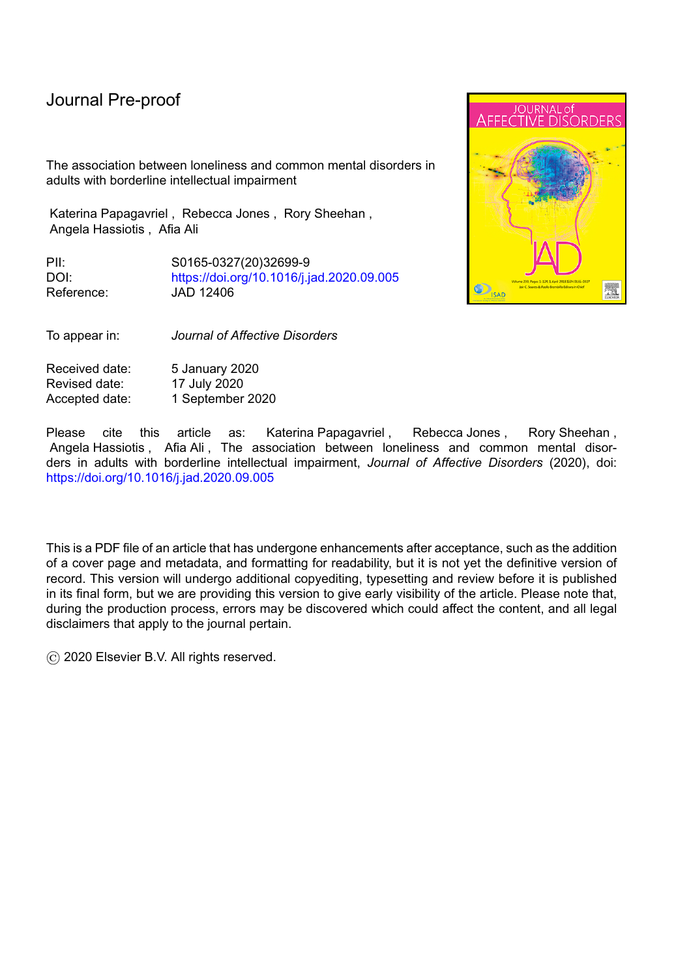# **Highlights for paper: The association between loneliness and common mental disorders in people with borderline intellectual impairment**

l

- People with borderline intellectual impairment represent 10% of the population
- They have a higher prevalence of loneliness than the general population
- Loneliness is associated with socio-demographic factors such as being single and low income
- Loneliness was associated with depression, anxiety disorders and suicidal thoughts
- People with borderline Intellectual functioning who had lower income and suicidal thoughts in the last week were more likely to be lonely than their counterparts in the general population

**Painty River**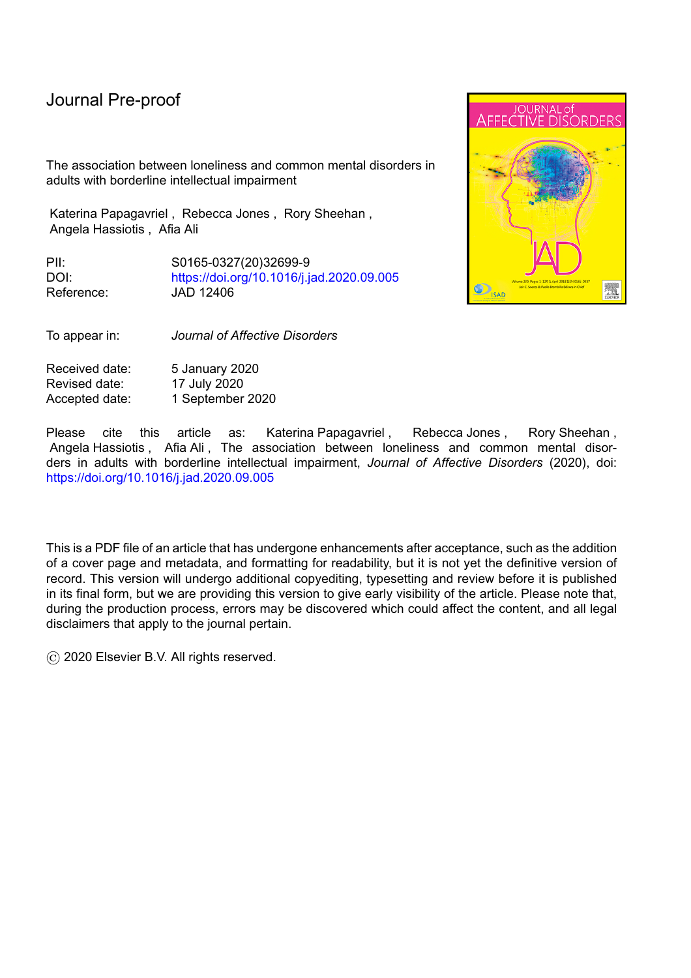# **The association between loneliness and common mental disorders in adults with borderline intellectual impairment**

l

Katerina Papagavriel <sup>1</sup>, Rebecca Jones <sup>1</sup>, Rory Sheehan <sup>1</sup>, Angela Hassiotis <sup>1</sup> and Afia Ali  $1, 2$ 

DEDE

<sup>1</sup>Division of Psychiatry,

University College London, UK

k.papagavriel@ucl.ac.uk

reb.jones@ucl.ac.uk

r.sheehan@ucl.ac.uk

a.hassiotis@ucl.ac.uk

afia.ali@ucl.ac.uk

<sup>2</sup> Corresponding author

Afia Ali

Division of Psychiatry,

University College of London,

6<sup>th</sup> Floor, Maple House,

149 Tottenham Court Road,

W1T 7NF

Email: afia.ali@ucl.ac.uk

Telephone: 0207 679 9334

**Abstract**

**Background**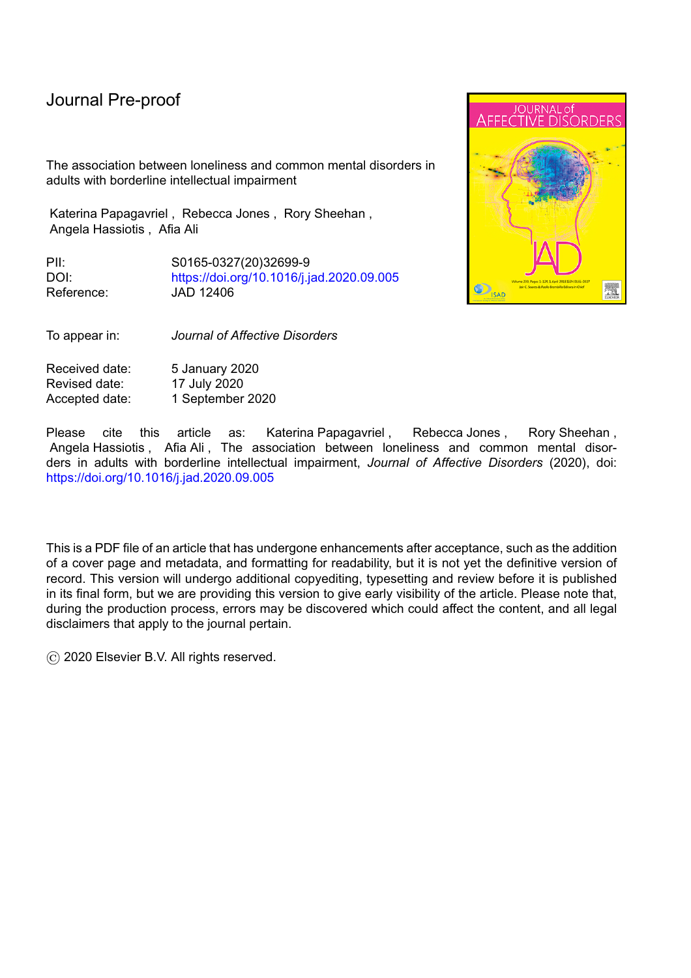Loneliness is linked to a number of adverse health outcomes in the general population. There is a lack of evidence on the prevalence and impact of loneliness in people with borderline intellectual impairment.

l

## **Methods**

Data from the 2014 Adult Psychiatric Morbidity Survey, a national survey of England, was analysed using Weights-adjusted regression analyses to compare the prevalence of loneliness and the association between loneliness and socio-demographic and clinical variables in people with borderline intellectual impairment and the general population.

## **Results**

Data from 6877 participants were included. Ten percent (n=671) of the sample had borderline intellectual impairment and their prevalence of loneliness was 24.5% compared to 18.4% in the general population. This difference was explained by exposure to social disadvantages. Associations were found in both groups between loneliness and being single, unemployed, low income, lower social support, feeling unsafe and discrimination in the past year. Loneliness was associated with lower wellbeing and higher rates of common mental disorders, suicidal thoughts and chronic physical disorders in both groups. Intellectual functioning moderated the relationship between loneliness and income (OR 1.82; 95%CI 1.06 to 3.11) and suicidal thoughts in the last week (OR 0.13; 95% CI 0.02 to 0.93).

## **Limitations**

IQ was measured using the National Adult Reading Test (NART), which is only valid for English speakers and loneliness was measured using a single item.

# **Conclusion**

Loneliness is more prevalent in people with borderline intellectual impairment. Interventions ttargeting social disadvantages (e.g. low income) may lead reduce loneliness and vulnerability to mental health problems.

# **1. Introduction**

A recent report, published using data from the Adult Psychiatric Morbidity Survey 2014 (McManus et al, 2014), has defined borderline intellectual impairment as an IQ below 80 (McManus et al, 2018), although it has also been defined as an IQ between 71 to 84 (Weiland & Zitman, 2016)). The prevalence of borderline intellectual impairment is approximately 13% depending on the criteria used to define the population (Hassiotis, 2015). This contrasts with 1% for people with intellectual disability (IQ below 70 and functional impairment, arising before the age of 18; McKenzie et al, 2016). Several epidemiological studies have shown that people with borderline intellectual impairment have a higher prevalence of psychiatric illness compared to people in the general population including psychosis, depression, anxiety disorders, personality disorders, and substance misuse disorders (Hassiotis et al, 2018; Hassiotis et al, 2008, McManus et al, 2018). Although no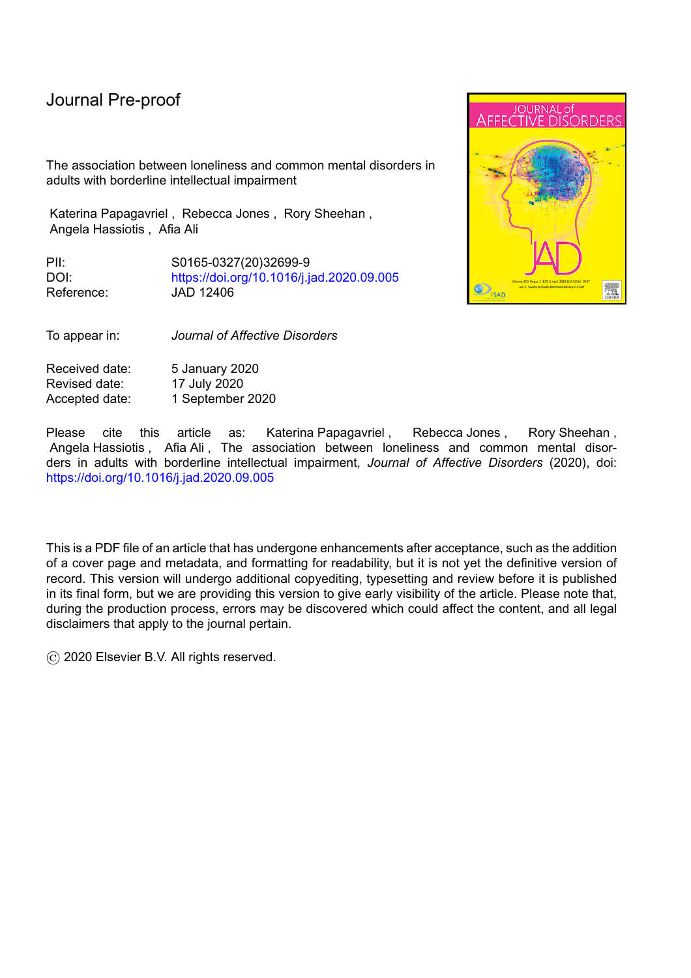longer a discrete diagnostic entity in the Diagnostic and Statistical Manual of Mental Disorders (DSM-5) (American Psychiatric Association, 2013), people with borderline intellectual impairment share a number of features in common with people with intellectual disability including higher rates of mental illness across the life span (Bhaumik et al, 2008; Einfeld et al, 2011; Seltzer et al, 2005); socio-economic disadvantage (Hassiotis et al, 2008; Emerson et al, 2008) and require high levels of support from health and social care services (Nouwens et al, 2017). Unlike people with intellectual disability, they are unable to access specialist clinical services in the UK and their needs are poorly met by mainstream services (Wieland & Zitman 2016).

Loneliness is defined as a subjective, unpleasant experience that occurs when a person's social network lacks quality and quantity (Perlman & Peplau, 1981). Loneliness may arise from differences between the subjective experience of social relationships and the expectations of such relationships (Wang et al 2017); when the number of people in an individual's network is smaller than expected, or when the affection one desires is not received (De Jong-Gierveld, 1987). The prevalence of loneliness in the general population is estimated to be 10.5% (Beutel et al, 2017) but appears to be significantly higher in people with intellectual disability at nearly 45% (Petroutsou et al, 2018). Loneliness has been associated with a number of demographic factors in the general population including both female and male sex and younger or older age (Upmanyu et al, 1992; Pinquart & Sorensen, 2001). Other risk factors for loneliness are being single; living alone; not having children (Beutel et al, 2017); lower income; unemployment; lower educational attainment (Pinquart & Sorensen, 2001) and lower perceived levels of social support (Alspach, 2013).

# *Impact of loneliness on mental and physical health*

There is growing recognition of the profound and wide-ranging deleterious effects of loneliness on both physical and mental health. Lifestyle factors such as smoking, physical inactivity and poor diet occur more often in people who report being lonely (Richard et al, 2017) and translate to increased rates of metabolic and cardiovascular disease (Hakulinen et al, 2018). In relation to mental health outcomes, loneliness is an important risk factor for depression (Cacioppo et al, 2006) and is associated with generalised anxiety disorder and both suicidal ideation and attempts (Beutel et al, 2017; Mezuk et al, 2014 23). Older people who are lonely have a two-fold increase in the risk of dementia (Holwerda et al, 2012).

The prevalence of loneliness in people with borderline intellectual impairment is unknown but could be expected to be similar to people with intellectual disability (Petroutsou et al, 2018). Risk factors associated with loneliness in people with borderline intellectual impairment have not been examined, although, people with borderline intellectual impairment report lower levels of social support, and have lower income and educational levels (Hassiotis et al, 2008), which are likely to be associated with loneliness. It is not known whether people with borderline intellectual impairment share the same risk factors for loneliness as people in the general population or whether there are specific risk factors associated with loneliness in this group. Understanding the prevalence of loneliness and its association may help to elucidate the importance of loneliness as a risk factor for mental illness in this population.

# **2. Aims and objectives**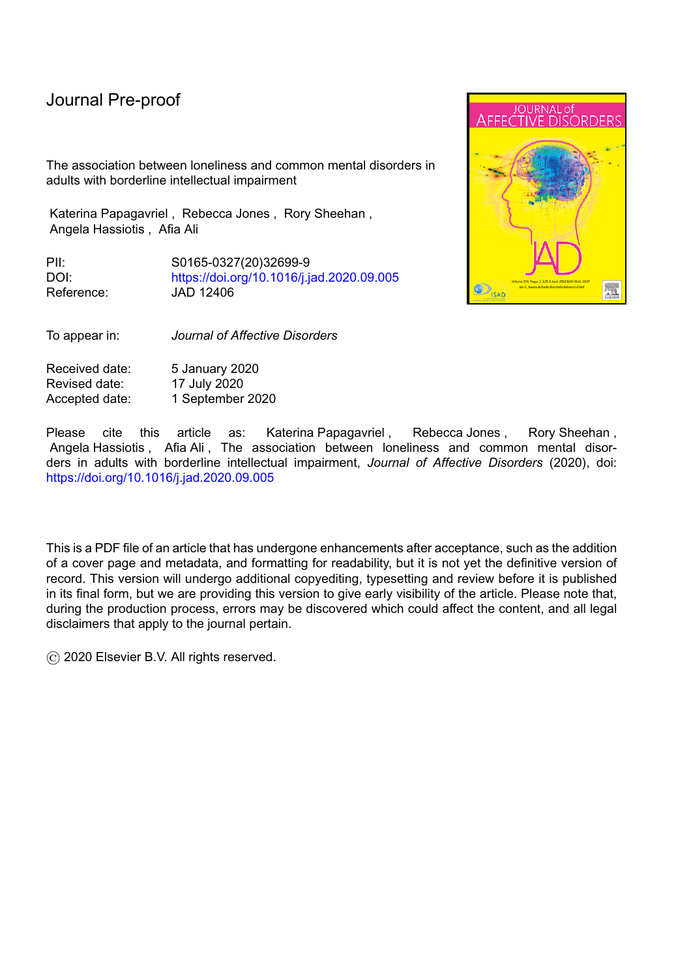Our aim was to examine the prevalence of loneliness and the association between loneliness and socio-demographic and health outcomes in people with borderline intellectual impairment and the general population using the Adult Psychiatric Morbidity Survey (APMS), 2014 (MacManus et al, 2014)

l

Our objectives were to:

- 1. Compare the prevalence of loneliness in people with borderline intellectual impairment and the general population.
- 2. Explore associations between loneliness and age, sex, ethnicity, marital status, income, employment, social support, discrimination and neighbourhood characteristics in both groups
- 3. Explore differences in the relationship between loneliness and common chronic diseases, self-reported physical health, mental wellbeing, common mental disorders, and suicidal thoughts in both groups
- 4. Explore interaction effects between level of intellectual functioning (people with borderline intellectual impairment and the general population) and loneliness in relation to the above socio-demographic and clinical variables.

We hypothesised that people with borderline intellectual impairment would have a higher prevalence of loneliness due to increased exposure to risk factors; that there would be strong associations between loneliness and socio-demographic and clinical variables; and the level of intellectual functioning may moderate relationships between socio-demographic variables and loneliness and between loneliness and common mental disorders and physical health.

# **3. Methods**

# *3.1 Design and participants*

The APMS is a series of surveys examining the prevalence of mental illness, treatment and service use in a representative sample of people living in private households in England. The survey used a multi-staged stratified probability sampling design based on the small user Postcode Address File, appropriate for identifying private households. This sampling frame consists of Royal Mail delivery locations receiving less than 50 items of mail daily. As a result, most large institutions and businesses are not included in the sample. Small institutions and businesses receiving less than 50 items are excluded after further verification. The primary sampling units (PSU) were individual or groups of postcode sectors. Prior to selection, the PSU were divided by a number of strata and a systematic random sample was obtained from the list. One person over the age of 16, per household, was randomly selected and invited to take part in the survey and informed consent was obtained.

Trained interviewers carried out the assessment face-to-face using computer assisted interviewing but some information was collected via self-completion, also using a computer. Assistance was provided where necessary (e.g. reading out questions and entering responses into the computer).

# *3.2 Measures*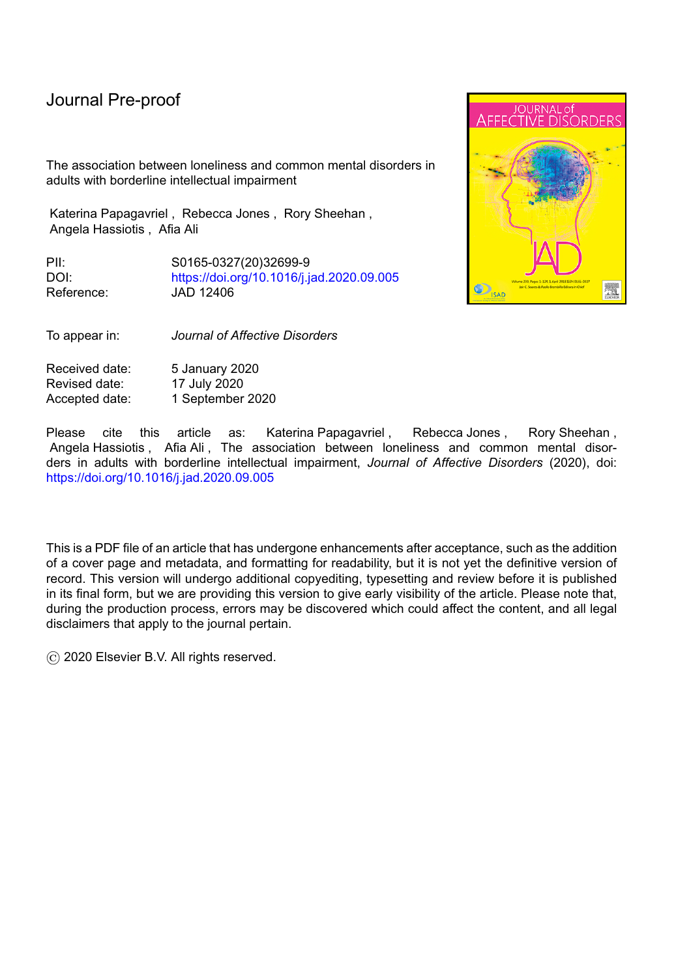# *i. Intellectual functioning and definition of Borderline Intellectual Impairment*

l

Intellectual functioning was measured using the National Adult Reading Test (NART), a validated measure of pre-morbid intelligence in adults suspected of having cognitive impairment (Nelson, 1982). The NART contains a list of 50 words that are presented in ascending order of difficulty. The estimated IQ score is calculated by recording the number of reading errors that are made by the individual. The Lowest obtainable verbal IQ score on the NART is 70. The NART is not sensitive enough to detect an IQ below 70 and therefore participants with an actual IQ below 70 (i.e. those with intellectual disability) cannot be accurately identified. In our sample, participants were identified as having borderline intellectual impairment if they had an IQ below 80 (McManus et al, 2014). It is possible that the sample may have included some people with mild intellectual disability, but all the participants would need to have had the cognitive and verbal skills required to have been able to participate in a long interview (McManus et al, 2014). Those with an IQ of 80 and above were classed as belonging to the general population comparison group.

#### *ii. Loneliness*

Loneliness was measured using one item from the eight-item Social Functioning Questionnaire (Tyrer et al, 2005): "I feel lonely and isolated from other people". Responses were recorded on a four-point Likert scale and were re-categorised for analysis as Lonely (Very much, Sometimes) or Not lonely (Not often, Not at all), in keeping with other studies on loneliness (Nyqvist et al, 2016; Routasalo et al, 2006)

#### *iii. Wellbeing*

The 14 item Warwick-Edinburgh Mental Wellbeing Scale (WEBWBS) was used to measure wellbeing (Stewart-Brown et al, 2011; Tennant et al, 2007). The total score ranges from 14- 70, with higher scores indicating a higher level of mental wellbeing.

#### *iv. Common mental disorders*

The Clinical Interview Schedule Revised (CIS-R) (Lewis et al, 1992) was used to identify participants with common mental disorders (depression, generalised anxiety disorder (GAD), agoraphobia, any phobia and panic disorder) who had been diagnosed and treated in the last 12 months.

#### *v. Self harm and suicide*

Participants were asked whether they had thought about suicide in the last week and the last 12 months and responses were recorded as Yes or No.

#### *vi. Physical Health*

Participants were asked whether they had suffered from any of the following chronic diseases in the last 12 months: asthma, cancer, epilepsy, diabetes and high blood pressure. Responses were recorded as Yes or No. Self-reported health was assessed using one item: "how is your health in general?" The item was scored on a five-point Likert scale, ranging from Excellent to Poor and was re-categorised for analysis as Generally Poor (fair to poor) or Generally Good (excellent to good).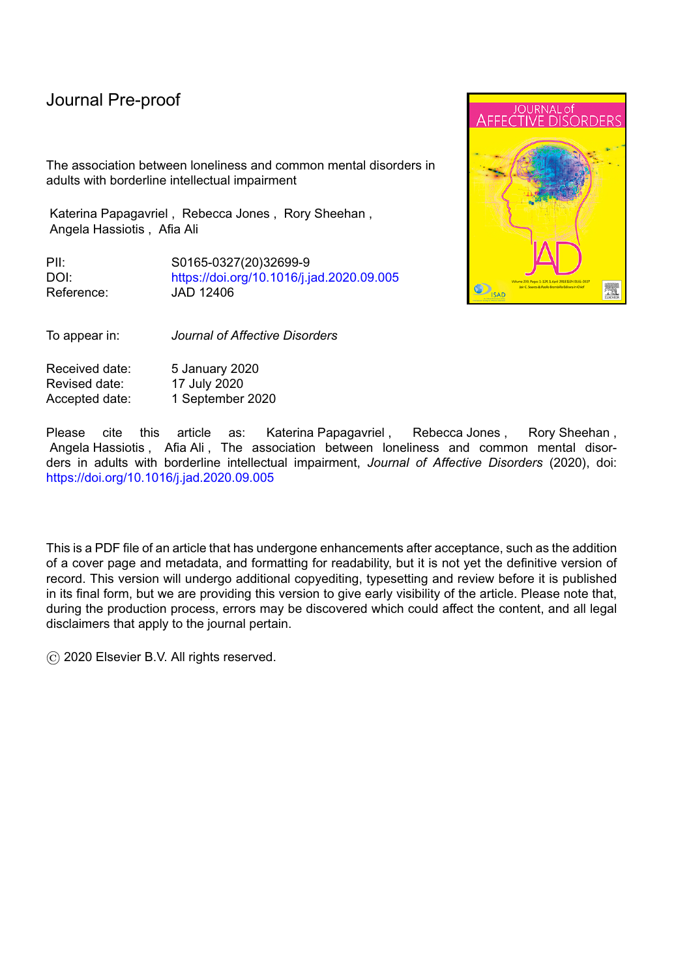## *vii. Socio-demographic variables*

l

The socio-demographic variables that were used in the analysis included age, sex, marital status, ethnicity, paid work in the last seven days, and whether participants had ever had a job. Participants were asked to indicate their income band. Equivalised income was calculated by adjusting income to take into account the number of people living in the household. We have summarised this information into tertiles to represent high (>£36, 228); middle (£17, 868-£36, 224), low (< £17, 868) and N/A (no income) income groups based on national data. Equivalised income was also analysed as a binary variable in the regression analysis (High Income ( $£17$ , 868) and Low Income (< $£17$ , 868)) to aid interpretation. Data collection was between May 2014 and September 2015, therefore the stated income was earned during that period. Marital status was re-categorised as being in a relationship (married, cohabiting, or same sex couple) or not (single, separated, divorced or widowed). The variables of marital status, ethnicity and income were analysed as binary for ease of analysis.

## *viii. Neighbourhood safety*

One item was used to measure whether people felt safe in their neighbourhood "I feel safe around here in the daytime". The item was scored on a five-point Likert scale and was categorised to either Feeling Safe (Strongly Agree to Neither Agree nor Disagree) or Not Safe (Disagree or Strongly Disagree).

## *ix. Discrimination.*

Participants were asked whether they had experienced discrimination in the last 12 months in relation to the following: ethnicity, sex, religious beliefs, age, sexual orientation, mental health and any other health problems or disability. Responses were recorded as Yes or No. Discrimination was re-categorised to Yes (reporting Yes to any one of seven items on the discrimination measure) and No (reporting No to all the items).

#### *x. Social support*

Social support was measured using a validated measure (McManus et al, 2007) comprising seven items, including "There are people I know amongst my family and friends who make me happy" and "There are people I know amongst my family and friends who can be relied on no matter what". These statements were scored on a three-point Likert scale (Not True, Partly True and Certainly True). The scores on the seven items were combined to give a total score ranging from 0-14, with higher scores indicating greater perceived social support.

# *3.3. Statistical analysis*

Socio-demographic characteristics were summarised using descriptive statistics. The association between the prevalence of loneliness and intellectual functioning was assessed using logistic regression with intellectual functioning (borderline intellectual impairment or general population) as the explanatory variable and loneliness as the outcome.

Associations between socio-demographic characteristics and loneliness and the possible moderating effect of intellectual functioning on these associations were explored using logistic regression. Separate statistical models were fitted for each socio-demographic characteristic (sex, age, marital status, ethnicity, employment status, previous employment,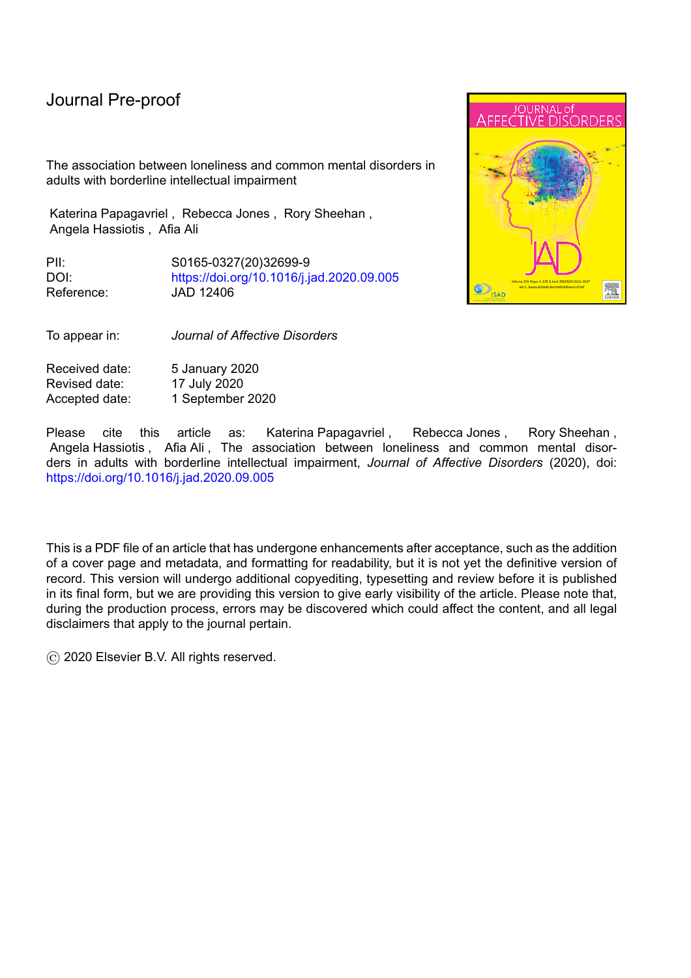# Journal Pre-proof

l

income, neighbourhood safety, experience of discrimination and social support) with loneliness as the outcome variable. The socio-demographic characteristic, intellectual functioning and the interaction between them were specified as explanatory variables. A further multivariate analysis was carried out to explore whether differences in the prevalence of loneliness in the two intellectual functioning groups could be explained by differences in exposure to indicators of social disadvantage. Loneliness was the dependent variable and intellectual functioning was the main independent variable of interest. The confounders included in the model as independent variables were being single, not having a current paid job, lower income, feeling unsafe in the neighbourhood, lower social support, and having experienced discrimination.

Associations between loneliness and mental and physical health outcomes and the possible moderating effect of intellectual functioning were explored using generalised linear models with the health measure as the outcome. Separate logistic regression models were fitted for the binary measures of depression, generalised anxiety disorder, agoraphobia, any phobia, panic disorder, suicidal thoughts, chronic physical health disorders and self-reported health. A linear regression model was fitted for the continuous WEMWBS score. Loneliness, intellectual functioning and the interaction between them were specified as the main explanatory variables in these models, with age and sex as covariates.

Missing data were handled by doing a complete case analysis, therefore, we only included participants with observed data. The loneliness variable had 463 observations missing, which makes up 6.1% of the overall data. The second highest percentage of missing data was 1.1% for the WEMWBS variable. The remaining variables had missing data of less than 1% of the overall data.

The data were weighted to take into account selection probabilities and non-response. Results are presented as unweighted frequencies and weighted odds ratios with 95% Confidence intervals. All analyses were performed using Stata version 15 (StataCorp, 2017).

# **4. Results**

The sample comprised participants aged 16 or over who were living in private households. 13,313 individuals were contacted and 7,546 (57%) completed the survey. Participants with missing IQ data and who did not speak English, were excluded. Data from 6877 participants were analysed.

#### *4.1. Demographic characteristics*

The characteristics of the borderline intellectual impairment group and the general population group are presented in Table 1. The borderline impairment group comprised 671 participants (10.2% of the total sample). There were significant differences between the two groups in terms of people with borderline intellectual impairment having a higher proportion of the sample with the following characteristics: males (49.0% *v* 40.0% ); younger people aged 16-34 (25.0% *v* 19.1%) and people aged over 75 (18.5% *v* 14.5%); being single (44.3% *v* 58.9%);no paid employment (48.8% *v* 65.5%); on low incomes (33.4% *v* 19.8%); feeling unsafe in the neighbourhood (3.9% *v* 2.0%) and experiencing discrimination (23.1% *v* 13.2%). They also reported lower mean levels of social support (19.4 *v* 20.2).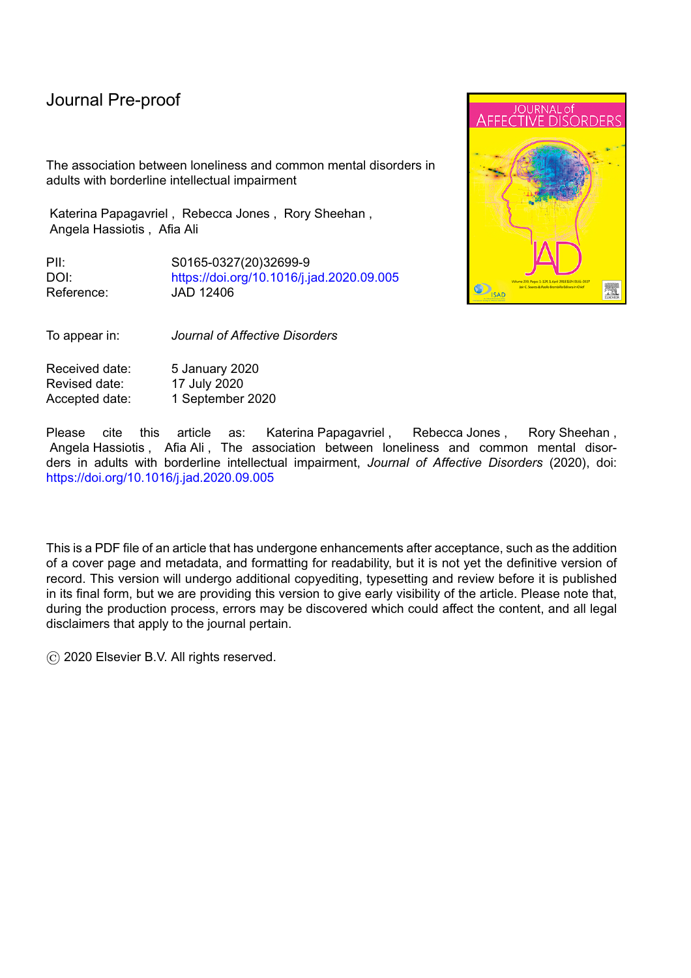# *4.2. Prevalence of loneliness*

The proportion of people with borderline intellectual impairment group who reported feeling lonely and isolated from other people was 24.2% compared to 18.4% from the general population. The odds of feeling lonely or isolated were 1.41 times greater in the intellectual impairment group compared to the general population (95% CI 1.13 to 1.76). After adjusting for indicators of confounders and indicators of social disadvantage, there was no evidence of a difference in the prevalence of loneliness in people with borderline intellectual impairment compared to the general population (OR 1.13; 95% CI 0.85 to 1.50).

# *4.3. Relationship between loneliness and socio-demographic variables*

l

The prevalence and associations between loneliness and the socio-demographic variables in people with Borderline intellectual impairment and general population are summarised in Table 2. In people with borderline intellectual impairment being single was associated with more than 1.8 times the odds of being lonely compared to people who were in a relationship (OR 1.83; 95% CI 1.18 to 2.83). Having a low income was associated with more than twice the odds of being lonely compared to those with a higher income (OR 2.73; 95% CI 1.63 to 4.59).Those with no current paid employment had twice the odds of reporting feeling lonely than those with a paid job (OR 2.09; 95% CI 1.32 to 3.31). Feeling lonely was also associated with not feeling safe in the neighbourhood (OR 4.09; 95% CI 1.36 to 12.30), discrimination (OR 2.36; 95% CI 1.28 to 4.35) and lower social support (OR 0.76; 95% CI 0.70 to 0.83).There was no association between loneliness and sex, age and ethnicity.

There were similar associations between loneliness and socio-demographic variables in the general population. However, unlike the sample with borderline intellectual impairment, both older age ( age 55-75 OR 0.62; 95% CI 0.51 to 0.76; age over 75 OR 0.69; 95% CI 0.54 to 0.90) and being female (OR 1.20; 95 CI 1.03 to 1.40) were associated with loneliness.

Analysis of interaction effects revealed no moderating effect of intellectual functioning on the relationship between loneliness and sex, age, marital status, ethnicity, previous employment, income, neighbourhood characteristics and social support. However, intellectual functioning was found to moderate the relationship between income and loneliness (OR 1.82; 95% CI 1.06 to 3.11). People with borderline intellectual impairment are more likely to be lonely if they have low income compared to people from the general population who have low income.

# *4.4. Relationship between loneliness and clinical variables*

The results of the relationship between loneliness and mental and physical health outcomes in people with borderline intellectual impairment and the general population are summarised in Table 3.

In people with borderline intellectual impairment, reporting loneliness was associated with lower wellbeing. The mean score on the WEMWBS in those who were lonely was 9.86 points lower compared to those who were not lonely (95% CI -12.08 to -7.64). Those who reported feeling lonely had over ten times greater odds of having a diagnosis of depression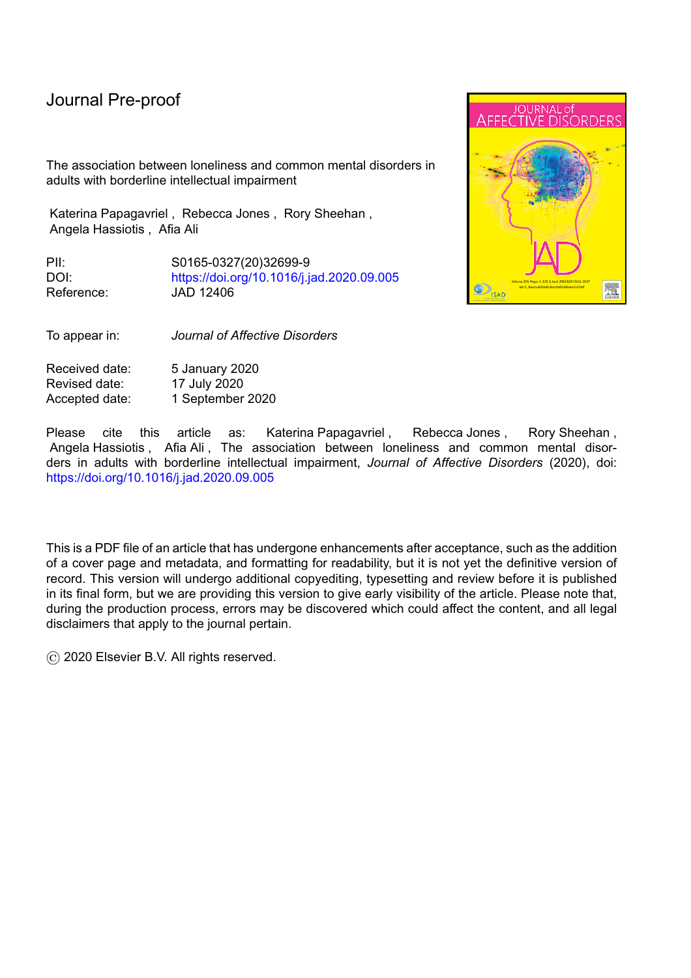than those who were not lonely (OR 10.73; 95% CI 3.99 to 28.82). The odds of having a diagnosis of any type of phobia in those reporting feeling lonely were over 20 times higher than those who were not lonely (OR 20.07; 95% CI 5.95 to 67.70). Feeling lonely was also associated with having a diagnosis of generalised anxiety disorder (OR 11.01; 95 CI 5.19 to 23.38), agoraphobia (OR 11.52; 95% CI 3.26 to 40.71). People who were lonely had over five times the odds of having suicidal thoughts in the last seven days (OR 5.73; 95% CI 1.13 to 29.00) and ten times the odds of having suicidal thoughts in the last year compared to those who were not lonely (OR 10.38 ; 95% CI 4.19 to 25.72). There was no association between loneliness and panic disorder. People who were lonely were more likely to report having poor health (OR 2.68; 95%CI 1.70 to 4.23) and having a chronic physical disorder (OR 1.68; 95%CI 1.07 to 2.64). Similar associations were found in people from the general population

Intellectual functioning moderated the relationship between loneliness and suicidal thoughts in the last week (OR 0.13; 95% CI 0.02 to 0.93). People with intellectual impairment are more likely to have had suicidal thoughts in the last seven days if they felt lonely compared to people from the general population who reported loneliness. However, intellectual functioning did not moderate the association between loneliness and any of the other mental health outcomes or chronic disorders.

#### Table 3 near here

l

## **5. Discussion**

# *5.1 Main findings*

The prevalence of loneliness in people with intellectual impairment was higher (24.2%) compared to the general population (18.4%) and the odds of being lonely were 1.4 times higher in people with intellectual impairment. However, there was no evidence that loneliness was higher in people with intellectual impairment compared to the general population after accounting for exposure to social disadvantage.

The associations between loneliness and socio-demographic variables were similar in people with borderline intellectual impairment and the general population. In people with borderline intellectual impairment, loneliness was associated with being single, not having a current paid job, lower income, feeling unsafe in the neighbourhood, lower social support and having experienced discrimination in the last 12 months but unlike the general population, there was no association with age and gender. Analysis of interaction effects found that people with borderline intellectual impairment who had lower income were more likely to be lonely compared to people from the general population who also had low income.

In relation to common mental disorders, the associations were similar in both groups. Those who reported feeling lonely had lower wellbeing, were more likely to have depression, generalised anxiety disorder, agoraphobia, and any type of phobia, in the last 12 months and to report suicidal thoughts in the past week and last year than those who were not lonely. Loneliness was also associated with chronic diseases and poor self- reported health. Analysis of interaction effects found that people with borderline intellectual functioning who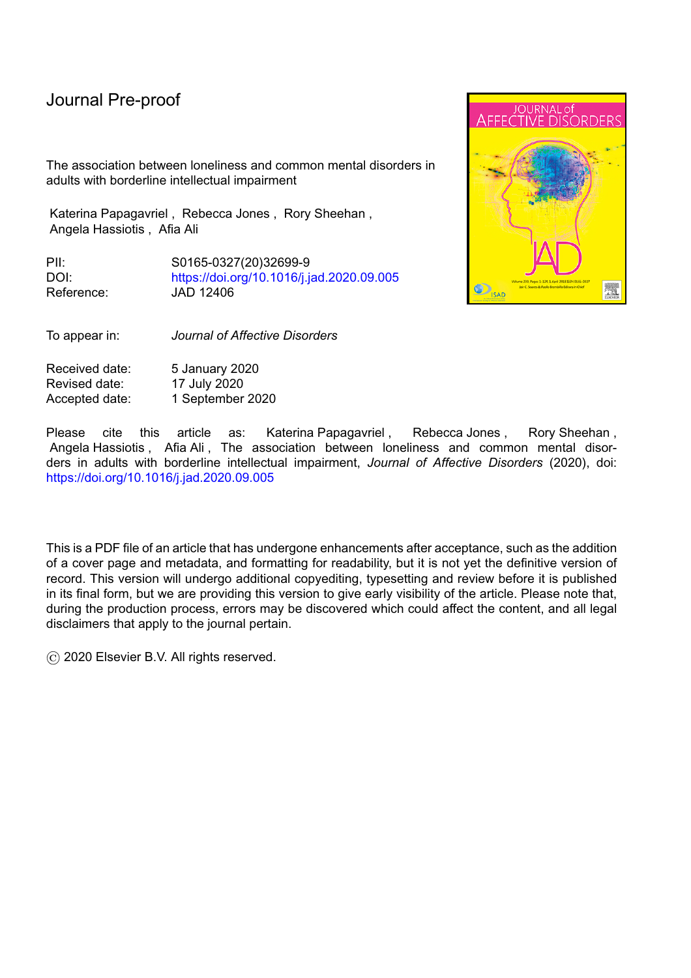reported suicidal thoughts in the last week were more likely to be lonely compared to people who people in the general population who reported suicidal thoughts.

l

## *5.2 Results in context*

The prevalence of borderline intellectual impairment was 10.2% of the sample. The findings are consistent with previous studies that have suggested a prevalence of around 13% (Hassiotis, 2015).

The prevalence of loneliness was found to be higher in people with borderline intellectual impairment compared to the general population but lower than the prevalence of loneliness found in people with intellectual disability, which has been reported as 44.7% (Petroutsou et al, 2018) suggesting that lower IQ may be a vulnerability factor for loneliness. However, the difference in the prevalence of loneliness between the general population and people with borderline intellectual impairment was explained by differences in the exposure to social disadvantages, with the borderline impairment group experiencing higher levels of social advantage. It is therefore likely that exposure to social disadvantages may also explain the higher levels of loneliness reported by people with intellectual disability.

We found that the prevalence of loneliness in the general population was higher than that reported in other northern European countries (Beutel et al, 2017; Yang & Victor, 2011 ) but was lower compared to Switzerland (Richard et al, 2017) and countries in eastern Europe. Differences in the measurement of loneliness and population characteristics (e.g. the distribution of age groups) may have influenced the variation in the results.

Our results are in agreement with findings from previous studies that demonstrate an association between loneliness and single marital status; (Beutel et al, 2017; Pinquart 2003) unemployment; income (Creed & Reynolds, 2001), lower social support (Pinquart & Sorensen, 2001) and discrimination in the general population (Lee & Bierman, 2019; witaj et al, 2015). Neighbourhood characteristics such as higher levels of antisocial behaviour, lower perceptions of collective efficacy and feeling unsafe at night, were associated with loneliness in a population-based study of deprived areas in Glasgow, Scotland (Kearns et al, 2015). Feeling afraid at home and in the neighbourhood is also associated with loneliness in people with intellectual disability (Stancliffe et al, 2005).

Intellectual functioning moderated the relationship between income and loneliness. It is not clear why having a low income is more strongly associated with loneliness in people with intellectual impairment but it may be the common pathway linking lack of opportunities and possibly inability to sustain paid employment in this population.

Our study confirmed findings from previous studies that loneliness is associated with lower wellbeing, depression, anxiety disorders, suicidal thoughts and poorer health in the general population (Alspach 2013; Heinrich & Gullone, 2006). In addition, intellectual functioning moderated the relationship between loneliness and suicidal thoughts in the last seven days. Our findings suggest that people with borderline intellectual impairment may be more vulnerable to experiencing suicidal thoughts if they are feeling lonely compared to the general population.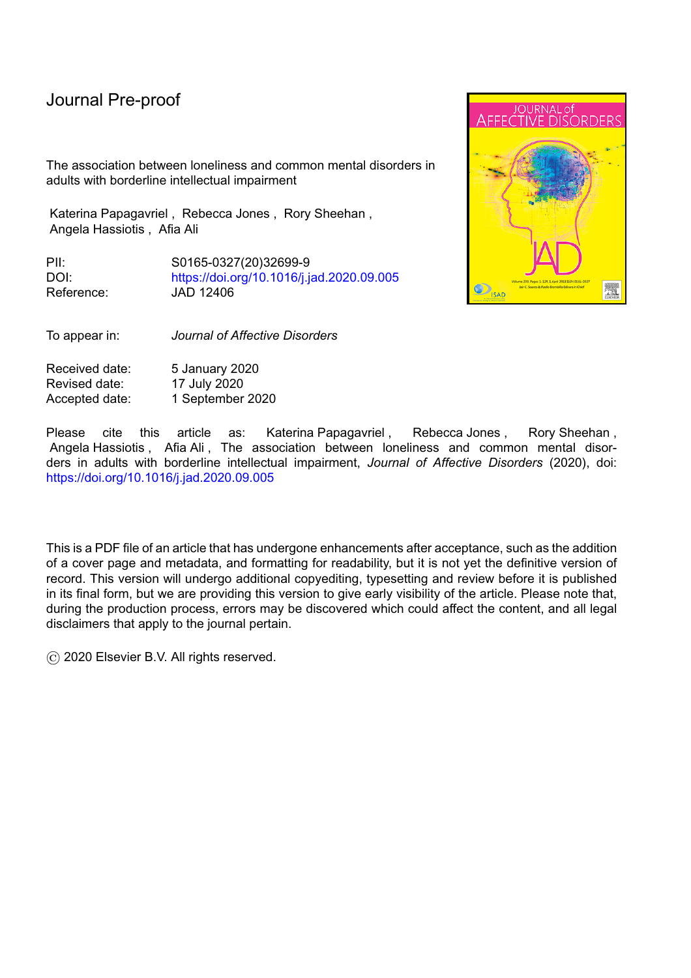Hawkley and Cacioppo (2010) have proposed mechanisms through which loneliness may impact on physical and mental health, which include loneliness being perceived as a threat, leading to negative cognitive biases that reinforce negative social interactions. This leads to feelings of stress, anxiety and low self-esteem with consequent activation of physiological and behavioural responses such as reduced self-regulation and increased maladaptive behaviours. Loneliness also has effects on sleep, the hypothalamic pituitary axis and inflammatory and immune responses that also have direct and indirect effects on health.

#### *5.3 Strengths and limitations*

This was the first study to measure loneliness in a representative national sample of people with intellectual impairment living in the community using standardised assessments, and the results can therefore be generalised to average households in England. Limitations include the measurement of loneliness with only one item: "I feel lonely and isolated from other people". This item includes constructs related to both loneliness and social isolation rather than just loneliness and this needs to be taken into consideration when comparing findings with other studies. IQ was measured with the NART, which is based on reading ability and therefore excludes people who are unable to read or who do not have English as their first language. Given that people with borderline intellectual impairment may have poor reading ability or may not be able to read at all, this may not be the best measure of IQ in this group. In addition, only individuals with sufficient verbal and cognitive ability to complete the questionnaires and people living in private households were included. As some people with borderline intellectual impairment may live in residential homes, which were not included in the survey, we may have potentially under-ascertained those with borderline intellectual impairment.

Due to the cross-sectional nature of the study, causality cannot be determined. The relationship between loneliness and the social demographic and health variables are likely to be complex and bidirectional. Furthermore, the number of people with a diagnosis of a mental health disorder were small, particularly in people with borderline intellectual impairment, and this has resulted in wide confidence intervals for some of the estimates.

# *5.4 Implications*

People with intellectual impairment are a vulnerable and socially disadvantaged group in terms of lower income, less paid employment and opportunities for employment as well as established self-reported difficulties in tasks of daily living compared to the general population (McManus et al 2018). Moreover, they do not have access to specialised services that people with intellectual disability are able to access. Some researchers advocate the need for improved recognition of people with intellectual impairment and that health services should pay greater attention to their specific health needs (Wieland & Zitman, 2016).

The higher prevalence of loneliness in this group was explained by the higher prevalence of social disadvantages that may perpetuate health inequalities (Strategic Review of Health Inequalities in England post-2010, 2010). Our findings suggest that loneliness could be reduced in people with borderline intellectual impairment by targeting modifiable variables such as income, neighbourhood safety and social support. This in turn could reduce the impact of loneliness on mental and physical health. People with borderline intellectual impairment who had low incomes were found to be particularly susceptible to feeling lonely,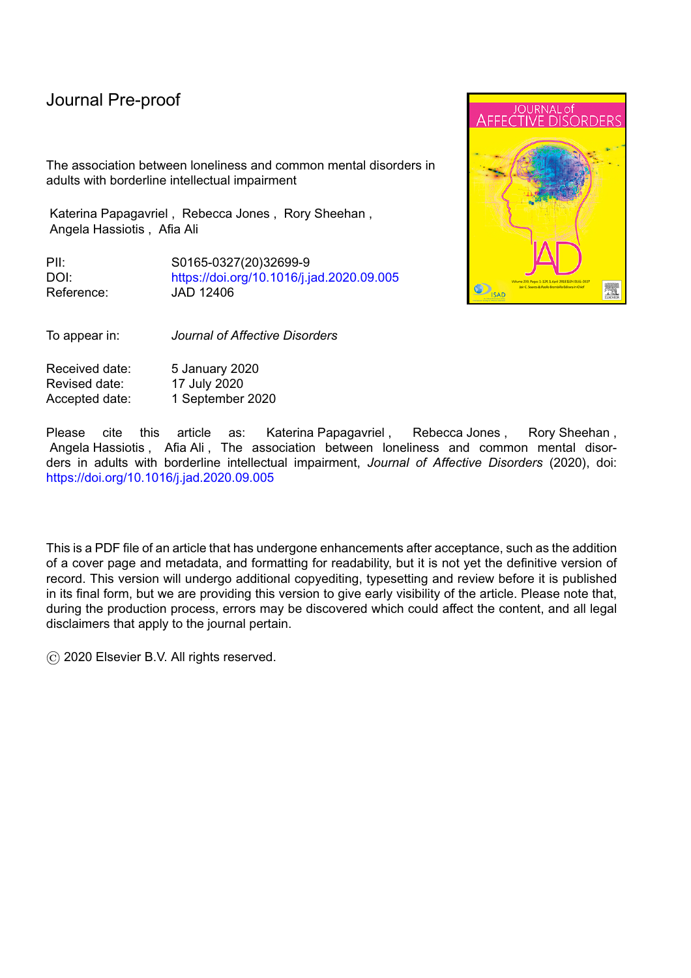compared to the general population. Interventions aimed at increasing income such as promoting employment opportunities through education and training initiatives, mentoring and individualised support, including reasonable adjustments at work, may be effective in reducing loneliness. People with borderline intellectual impairment who were lonely were also more likely to report suicidal thoughts in the past week. They may therefore be at an increased risk of suicide. Mental health services need to be aware of this risk and ensure that appropriate support is provided to mitigate this risk.

Intellectual functioning did not moderate the relationship between loneliness and other sociodemographic characteristics or clinical outcomes. The relationship between loneliness and socio-demographic and clinical variables is likely to be similar for people with and without borderline intellectual impairment and therefore interventions aimed at reducing loneliness that are effective for the general population may also be appropriate for people with borderline intellectual impairment.

A recent systematic review explored the effectiveness of interventions tackling loneliness (Man et al, 2017), but found that all lacked a strong evidence base. However, Interventions that target maladaptive cognitions using Cognitive Behavioural Therapy show some promise (Man et al, 2017). A recently published trial found that mindfulness techniques using openness and acceptance reduced loneliness and increased social contact in people from the general population (Lindsay et al, 2019). It is not known what interventions are likely to be most effective and what adaptations may be necessary to maximise their benefit to people with borderline intellectual impairment. Evidence from a pilot study of mentoring to promote participation in community groups in older adults with mild intellectual disability has been shown to improve social satisfaction, and it is possible that this type of intervention may also be helpful for people with borderline intellectual impairment on the basis that they share similar characteristics (Stancliffe et al, 2015).

#### **6. Conclusions**

People with intellectual impairment experience high levels of social and health inequalities compared to the general population. This is the first study to investigate loneliness in this group and to compare risk factors as well as associations with mental and physical disorders in people from the general population. Loneliness was found to be more prevalent in people with intellectual impairment compared to the general population suggesting that they have an increased vulnerability to developing mental and physical health problems. Low income was particularly associated with loneliness in people with borderline intellectual impairment. Loneliness was also strongly associated with suicidal thoughts in the last seven days in people with borderline intellectual impairment. Interventions that target loneliness and improve access to employment may help to reduce loneliness and social disadvantage in this group, which may in turn lead to a reduction in the prevalence of mental disorders.

#### **Acknowledgements**

We acknowledge NHS Digital for their permission to use the data.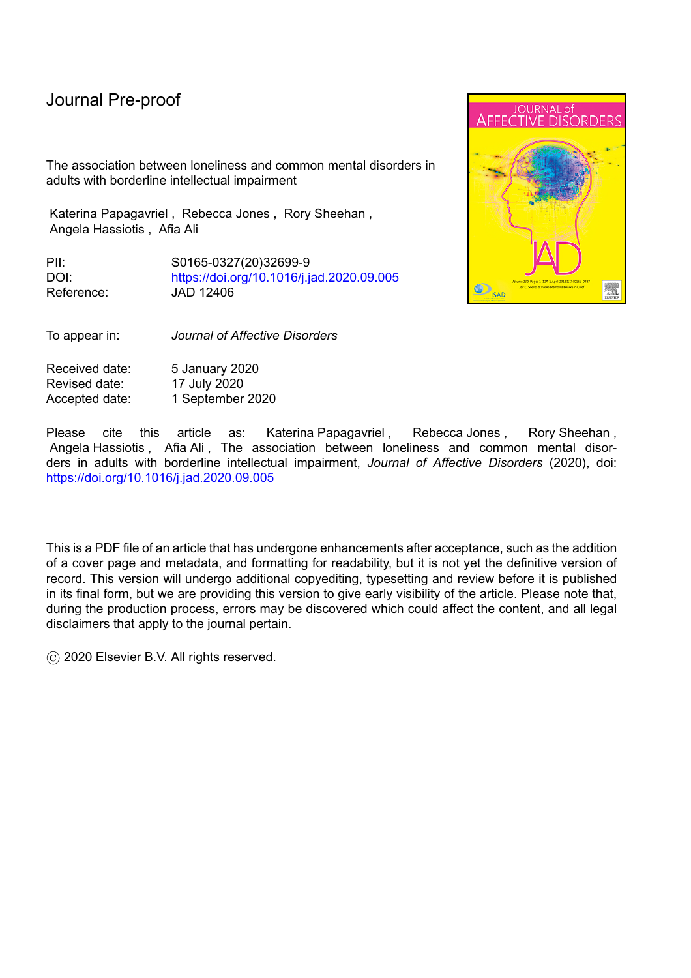## **Financial support**

This research did not receive any specific grant from funding agencies in the public, commercial, or not-for-profit sectors.

l

**Declaration of interest**

None.

## **Author Agreement**

## *Contributors*

AA and KP conceptualised the study and carried out the analysis, with support from RJ. All the authors (KP, RJ, RS, AH and AA) were involved in interpreting the results and in writing and reviewing the contents of the paper. AA has access to the final data set. All the authors have seen and approved the final version of the manuscript being submitted. The article is the authors' original work, has not been published and is not under consideration for publication elsewhere.

#### *Role of funding source*

This research did not receive any specific grant from funding agencies in the public, commercial, or not-for-profit sectors.

*Acknowledgements*

We acknowledge NHS Digital for their permission to use the data.

# **Declaration of interests**

x The authors declare that they have no known competing financial interests or personal relationships that could have appeared to influence the work reported in this paper.

 $\Box$ The authors declare the following financial interests/personal relationships which may be considered as potential competing interests: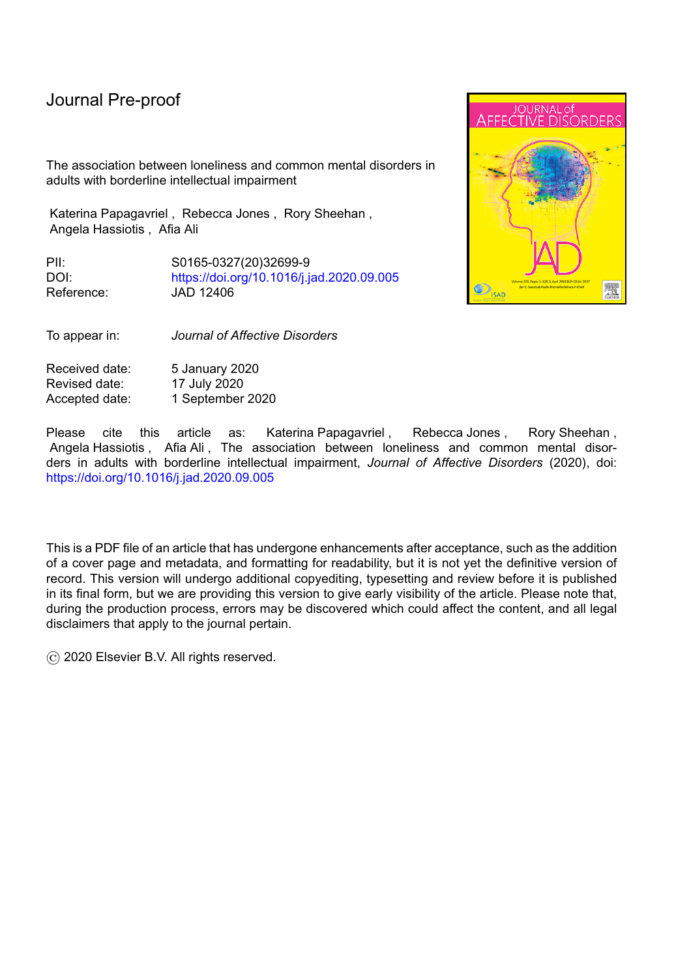# **References**

1.Alspach J. (2013). Loneliness and social isolation: Risk factors long overdue for surveillance. *Critical Care Nurse* 33, 8-13.

l

2. American Psychiatric Association (2013). *Diagnostic and statistical manual of mental disorders* (5th ed.). Arlington, VA: Author.

3.Beutel M, Klein E, Brähler E, Reiner I, Jünger C, Michal M, Wiltink J, Wild P, Münzel T, Lackner K, Tibubos A (2017). Loneliness in the general population: Prevalence, determinants and relations to mental health. *BMC Psychiatry*, 17, 97

4. Bhaumik S, Tyrer F, McGrother C, Ganghadaran S (2008). Psychiatric service use and psychiatric disorders in adults with intellectual disability. *Journal of Intellectual Disability Research* 52, 986-995.

5.Cacioppo J, Hughes M, Waite L, Hawkley L, Thisted R (2006). Loneliness as a specific risk factor for depressive symptoms: Cross-sectional and longitudinal analyses. *Psychology and Aging* 21, 140-151.

6.Creed P, Reynolds J (2001). Economic deprivation, experiential deprivation and social loneliness in unemployed and employed youth. *Journal of Community & Applied Social Psychology* 11,167-178.

7.De Jong-Gierveld J (1987). Developing and testing a model of loneliness. *Journal of Personality and Social Psychology* 53, 119-128.

8.Einfeld S, Ellis L, Emerson E. (2011). Comorbidity of intellectual disability and mental disorder in children and adolescents: A systematic review. *Journal of Intellectual & Developmental Disability* 36, 137-143.

9. Emerson E, Hatton C (2008).Socioeconomic disadvantage, social participation and networks and the self-rated health of English men and women with mild and moderate intellectual disabilities: cross sectional survey. *European Journal of Public Health* 18, 31–37,

10. Hakulinen C, Pulkki-Råback L, Virtanen M, Jokela M, Kivimäki M, Elovainio M (2018). Social isolation and loneliness as risk factors for myocardial infarction, stroke and mortality: UK Biobank cohort study of 479 054 men and women*. Heart.* 104, 1536-1542.

11. Hassiotis, A. (2015). Borderline intellectual functioning and neurodevelopmental disorders: Prevalence, comorbidities and treatment approaches. *Advances in Mental Health and Intellectual Disabilities, 9*.

12.Hassiotis A, Strydom A, Hall I, Ali A, Lawrence-Smith G, Meltzer H, Head J, Bebbington P (2008). Psychiatric morbidity and social functioning among adults with borderline intelligence living in private households. *Journal of Intellectual Disability Research,* 52, 95- 106.

13.Hassiotis A, Tanzarella M, Bebbington P, Cooper C. (2011). Prevalence and predictors of suicidal behaviour in a sample of adults with estimated borderline intellectual functioning: Results from a population survey. *Journal of Affective Disorders* 129, 380-384.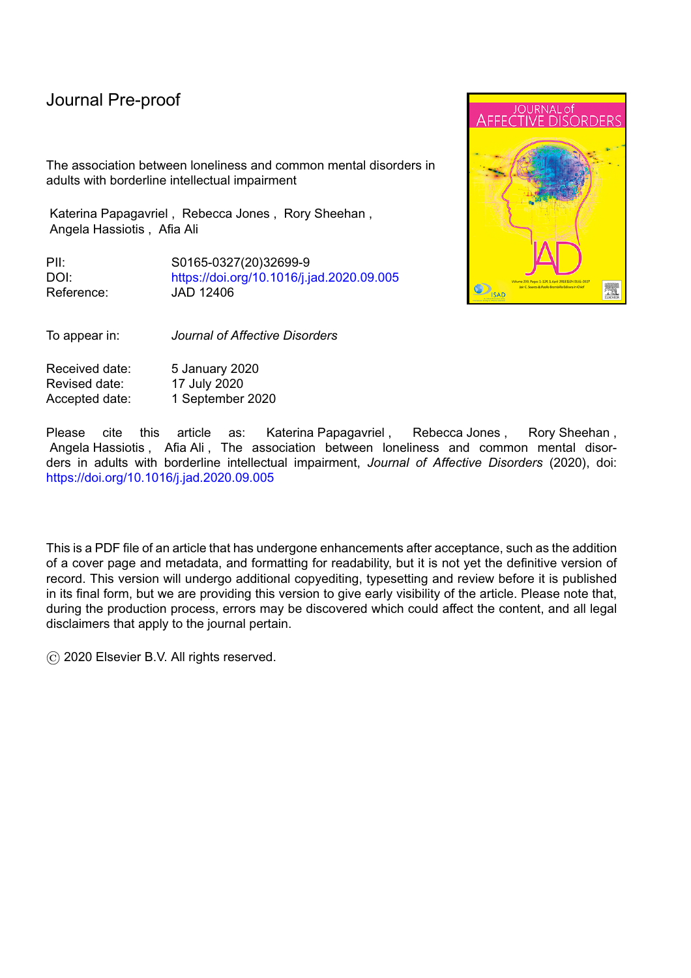14.Hassiotis A, Noor M, Bebbington P, Ali A, Wielan J, Qassem T (2017). Borderline intellectual functioning and psychosis: Adult Psychiatric Morbidity Survey evidence. *British Journal of Psychiatry*, 211, 50-51.

l

14. Hawkley LC, Cacioppo JT (2010). Loneliness matters: a theoretical and empirical review of consequences and mechanisms. *Annals of Behavioural Medicine.* 40, 218-27.

16. Hawkley LC, Thisted RA, Masi CM, Cacioppo JT (2010). Loneliness predicts increased blood pressure: Five-year cross-lagged analyses in middle-aged and older adults. *Psychology and Aging* 25, 132-141

17.Heinrich LM, Gullone E (2006). The clinical significance of loneliness: a literature review. *Clinical Psychology Review* 26, 695–718.

18. Holwerda TJ, Deeg J H D, Beekman T F A, Van Tilburg T G, Stek M L, Jonker Cees, Schoevers Robert A (2012). Feelings of loneliness, but not social isolation, predict dementia onset: results from the Amsterdam Study of the Elderly (AMSTEL) Journal of *Neurology, Neurosurgery and Psychiatry* 85, 135-42

19.Jaremka L, Andridge R, Fagundes C, Alfano C, Povoski S, Lipari A, Angnese D, Arnold M, Farrar W, Yee L, Carson W, Bekaii-Saab T, Martin E, Schmidt C, Kiecolt-Glaser, J (2014). Pain, depression, and fatigue: Loneliness as a longitudinal risk factor. *Health Psychology* 33, 948-957.

20.Kearns A, Whitley E, Tannahill C, Ellaway A (2015). 'Lonesome Town'? Is loneliness associated with the residential environment, including housing and neighbourhood factors? *Journal of Community Psychology*. 43, 849–867.

21.Lauder W, Mummery K, Jones M, Caperchione C. (2006). A comparison of health behaviours in lonely and non-lonely populations. *Psychology, Health & Medicine*, 11, 233- 245.

22.Lee Y, Bierman A (2018). Loneliness as a Mediator of Perceived Discrimination and Depression: Examining Education Contingencies. *The International Journal of Aging and Human Development* 91415018763402

23.Lewis G, Pelosi A, Araya R, Dunn G (1992). Measuring psychiatric disorder in the community: a standardized assessment for use by lay interviewers. *Psychological Medicine*, 22, 465-486

24.Lindsay EK, Young S, Brown KW, Smyth JM, Creswell JD (2019). Mindfulness training reduces loneliness and increases social contact in a randomized controlled trial. *Proceedings of the National Academy of Sciences of the United States of America.*116, 3488-3493.

25.Mann F, Bone JK, Lloyd-Evans B, Frerichs J, Pinfold V, Ma R, Wang J, Johnson S (2017). A life less lonely: the state of the art in interventions to reduce loneliness in people with mental health problems. *Social Psychiatry Psychiatric Epidemiology .*52, 627-638.

26. McKenzie, K., Milton, M., Smith, G., & Ouellette-Kuntz ( 2016). Systematic review of the prevalence and incidence of intellectual disabilities: Current trends and issues. *Current Developmental Disorder Reports, 3*, 104–115. https://doi.org/10.1007/s40474-016-0085-7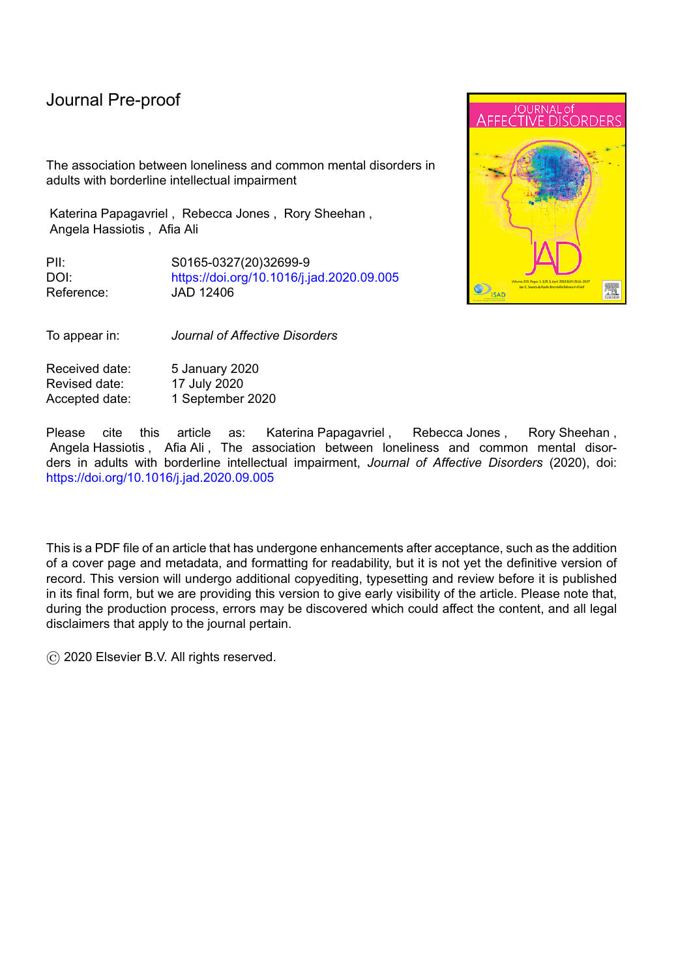27.McManus S, Ali A, Bebbington P, Brugha T, Cooper C, Rai D, Saunders C, Strydom A, Hassiotis A. (2018) *Inequalities in health and service use among people with borderline intellectual impairment.* NatCen: London.

28.McManus S, Bebbington P, Jenkins R, Brugha T. (eds.) (2016) *Mental health and wellbeing in England: Adult Psychiatric Morbidity Survey 2014*. Leeds: NHS Digital.

l

29.McManus S, Meltzer H, Brugha T, Bebbington P, Jenkins R (eds.) (2009). *Adult Psychiatric Morbidity in England, 2007: results of a household survey.* The Health & Social Care Information Centre, Social Care Statistics. http://www.ic.nhs.uk

30.Mezuk B, Rock A, Lohman MC, Choi M (2014) Suicide risk in long-term care facilities: a systematic review. *International Journal of Geriatric Psychiatry* 29,1198–1211

31. Nelson H. (1982). *National adult reading test (NART)*. Windsor, Berks: NFER-Nelson..

32. Nouwens PJG, Lucas R, Embregts PJCM, van Nieuwenhuizen C (2017). In plain sight but still invisible: A structured case analysis of people with mild intellectual disability or borderline intellectual functioning, *Journal of Intellectual & Developmental Disability* 42, 36- 44

33.Nyqvist F, Victor CR, Forsman AK, Cattan M (2016). The association between social capital and loneliness in different age groups: a population-based study in Western Finland. *BMC Public Health.*16:542

34.Perlman D, Peplau, L. (1981). Toward a social psychology of loneliness. In: S. Duck and R. Gilmour, ed., *Personal Relationships. 3: Personal relationships in disorder*. London: Academic Press, pp.31-56.

35.Petroutsou A, Hassiotis A, Ali A. (2018). Loneliness in people with intellectual and developmental disorders across the lifespan: A systematic review of prevalence and interventions. *Journal of Applied Research in Intellectual Disabilities,* 31, 643-658.

36.Pinquart M. (2003). Loneliness in married, widowed, divorced, and never-married older adults. *Journal of Social and Personal Relationships*, 20, 31-53.

37.Pinquart M, Sorensen S. (2001). Influences on loneliness in older adults: A metaanalysis. *Basic and Applied Social Psychology*, 23, 245-266.

38.Richard A, Rohrmann S, Vandeleur C, Schmid M, Barth J, Eichholzer M. (2017). Loneliness is adversely associated with physical and mental health and lifestyle factors: Results from a Swiss national survey. *PLOS ONE*, 12, e0181442.

39. Routasalo PE, Savikko N, Tilvis RS, Strandberg TE, Pitkälä KH (2006). Social contacts and their relationship to loneliness among aged people: a population-based study. *Gerontology,* 52, 181–87.

40.Seltzer M, Floyd F, Greenberg J, Lounds J, Lindstrom M, Hong J. (2005). Life course impacts of mild intellectual deficits. *American Journal on Mental Retardation*, 110, 451-468.

41.Stancliffe R, Lakin K, Doljanac R, Byun S, Taub S, Chiri G (2007). Loneliness and living arrangements. *Intellectual and Developmental Disabilities*, 45, 380-390.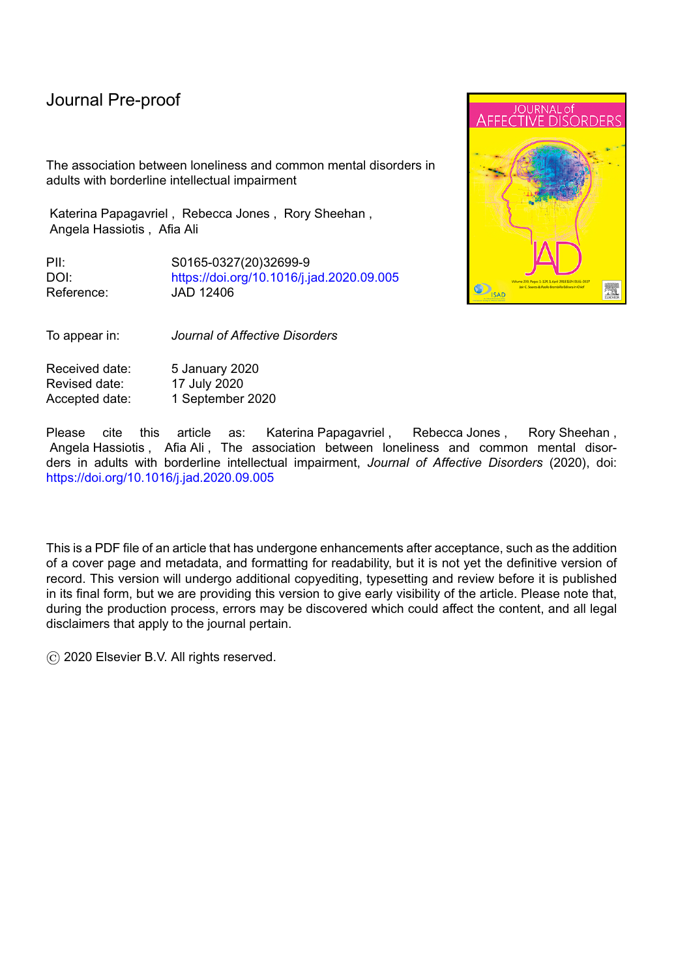42.Stancliffe R J, Bigby C, Balandin S, Wilson N J, Craig D (2015). Transition to retirement and participation in mainstream community groups using active mentoring: a feasibility and outcomes evaluation with a matched comparison group. *Journal of Intellectual Disability Research 59*, 703–718.

l

43.StataCorp (2017). Stata Statistical Software: Release 15. College Station, TX: StataCorp LLC

44.Stewart-Brown S, Platt S, Tennant A, Maheswaran H, Parkinson J, Weich S, Tennant R, Taggart F, Clarke A (2011). The Warwick-Edinburgh Mental Well-being Scale (WEMWBS): A valid and reliable tool for measuring mental well-being in diverse populations and projects. *Journal of Epidemiology & Community Health* 65, 38-A39.

45.Strategic Review of Health Inequalities in England post-2010. (2010). *Fair society, healthier lives: The Marmot review.* Retrieved from http://www.instituteofhealthequity.org/resources-reports/fair-society-healthy-lives-themarmot-review/fair-society-healthy-lives-the-marmot-review-full-report.pdf

46. witaj P, Grygiel P, Anczewska M, Wciórka J (2015). Experiences of discrimination and the feelings of loneliness in people with psychotic disorders: the mediating effects of selfesteem and support seeking. *Comprehensive Psychiatry* 59, 73-79.

47.Tennant R, Hiller L, Fishwick R, Platt S, Joseph S, Weich S, Parkinson J, Secker J, Stewart-Brown S. (2007). The Warwick-Edinburgh Mental Well-being Scale (WEMWBS): Development and UK validation. *Health and Quality of Life Outcomes*, 5, 63

48.Tyrer P, Nur U, Crawford M, Karlsen S, MacLean C, Rao B, Johnson T (2005). The Social Functioning Questionnaire: A Rapid and Robust Measure of Perceived Functioning. *International Journal of Social Psychiatry 51*, 265–2

49.Upmanyu V, Upmanyu S, Dhingra M. (1992). Gender differences in loneliness. *Journal of Personality and Clinical Studies 8*, 161-166.

50.Wang J, Lloyd-Evans B, Giacco D, Forsyth R, Nebo C, Mann F, Johnson S. (2017). Social isolation in mental health: a conceptual and methodological review. *Social Psychiatry and Psychiatric Epidemiology*, 52, 1451-1461.

51.Wieland J, Zitman F. (2016). It is time to bring borderline intellectual functioning back into the main fold of classification systems. *British Journal of Psychiatry Bulletin* 40, 204-206.

52. Yang KM, Victor C. (2011) Age and loneliness in 25 European nations. Ageing & Society. 31, 1368–88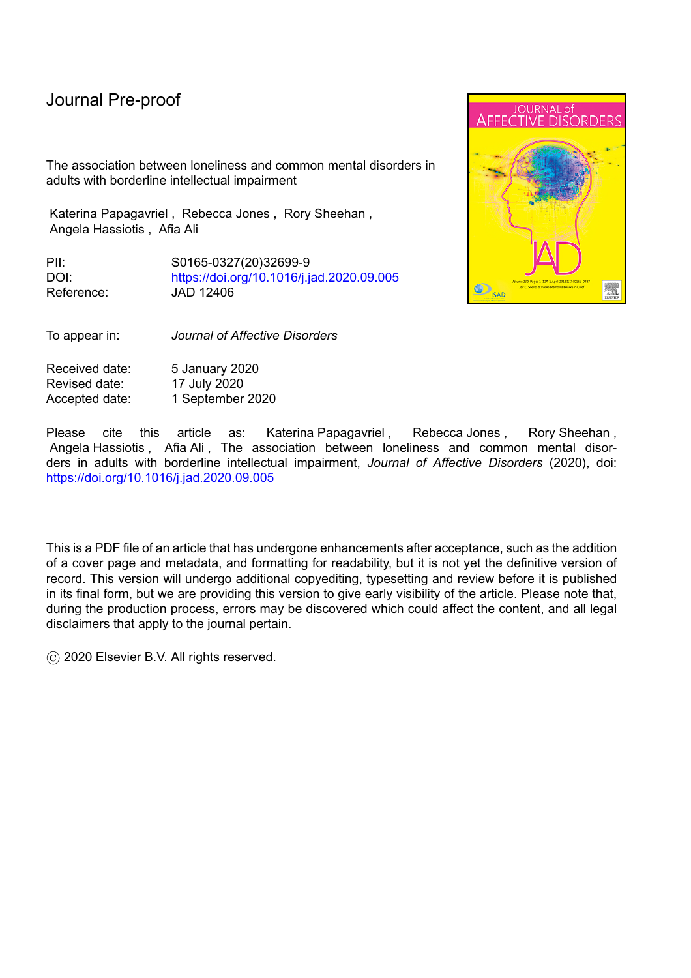# **Tables**

# **Table 1: Comparison of socio-demographic characteristics in people with borderline intellectual impairment and the general population.**

l

| <b>Characteristic</b>              |                                   |                           |                  |
|------------------------------------|-----------------------------------|---------------------------|------------------|
|                                    | Numbers (%)                       |                           |                  |
|                                    | <b>Intellectual</b><br>Impairment | <b>General Population</b> | $\boldsymbol{p}$ |
|                                    |                                   |                           |                  |
| <b>Sex</b>                         |                                   |                           |                  |
| Male                               | 329 (49.0)                        | 2,485 (40.0)              | < 0.001          |
| Female                             | 342 (51.0)                        | 3,721 (60.0)              |                  |
|                                    |                                   |                           |                  |
| Age                                |                                   |                           |                  |
| 16-34                              | 168 (25.0)                        | 1,187(19.1)               | < 0.001          |
| 35-54                              | 188 (28.0)                        | 2,008 (32.4)              |                  |
| 55-74                              | 191 (28.5)                        | 2,114 (34.1)              |                  |
| $75+$                              | 124 (18.5)                        | 897 (14.5)                |                  |
|                                    |                                   |                           |                  |
| <b>Marital Status</b>              |                                   |                           |                  |
| In a relationship                  | 276 (41.1)                        | 3,457 (55.7)              | < 0.001          |
| Single                             | 395 (58.9)                        | 2,749 (44.3)              |                  |
|                                    |                                   |                           |                  |
| <b>Ethnicity</b><br>White          | 609 (91.4)                        |                           | < 0.001          |
| Black/African/Caribbean/Black      | 28 (4.2)                          | 5,889 (95.0)<br>111(1.8)  |                  |
| British Asian/Asian British        | 19(2.9)                           | 121(2.0)                  |                  |
| Mixed/Multiple ethnic groups/Other | 10(1.5)                           | 79 (1.2)                  |                  |
| ethnic groups                      |                                   |                           |                  |
|                                    |                                   |                           |                  |
| In paid employment                 |                                   |                           |                  |
| Yes                                | 230 (34.5)                        | 3,177(51.2)               | < 0.001          |
| <b>No</b>                          | 436 (65.5)                        | 3,027(48.8)               |                  |
|                                    |                                   |                           |                  |
| <b>Income</b>                      |                                   |                           |                  |
| Highest tertile (£36,228)          | 50 (11.2)                         | 1,694 (34.0)              | < 0.001          |
| Middle tertile (£17,868, <£36,228) | 124 (27.7)                        | 1,752 (35.2)              |                  |
| Lowest tertlie (<£17,868)          | 273 (61.1)                        | 1,533 (30.8)              |                  |
| N/A                                | 224 (33.4)                        | 1,227 (19.8)              |                  |
| Feel safe in neighbourhood         |                                   |                           |                  |
| Yes                                | 636 (96.1%)                       | 6,078 (98.0)              | 0.001            |
| No                                 | 26 (3.9%)                         | 124(2.0)                  |                  |
|                                    |                                   |                           |                  |
| <b>Discrimination</b>              |                                   |                           |                  |
| Yes                                | 155(23.1)                         | 817 (13.2)                | < 0.001          |
| No                                 | 516 (76.9)                        | 5,389 (86.8)              |                  |
|                                    |                                   |                           |                  |
|                                    |                                   |                           |                  |
| Social support - mean (SD)         | 19.41 (2.81)                      | 20.17 (1.96)              | < 0.001          |

All statistics are N (%) unless otherwise specified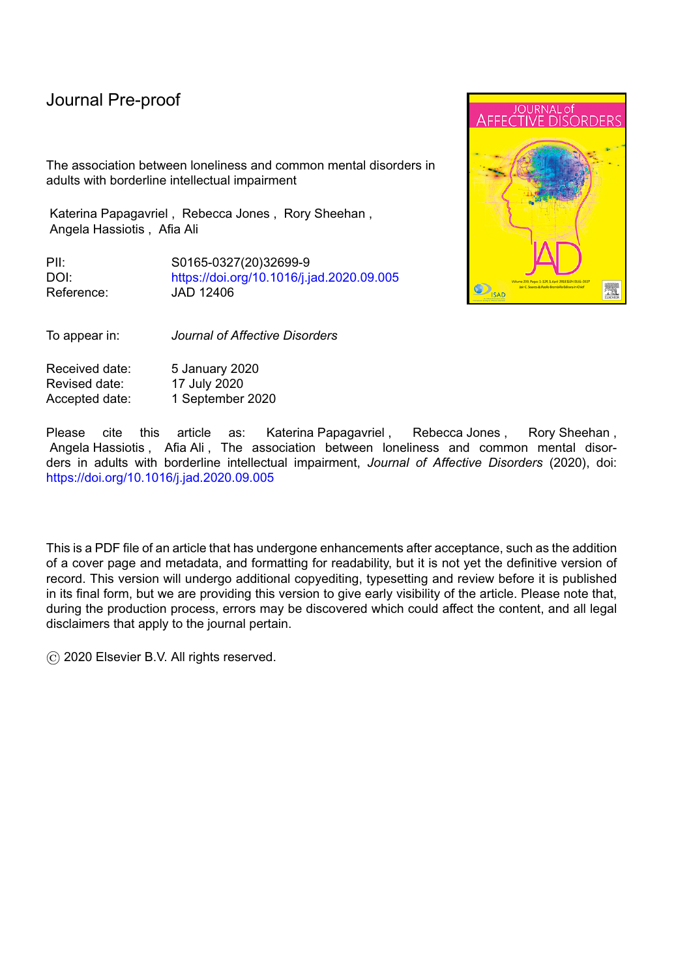# **Table 2. Associations between socio-demographic characteristics and feeling lonely in people with borderline intellectual impairment and the general population**

|                             |                                            | <b>Intellectual Impairment</b> |                          |                                            | <b>General Population</b> |                 |
|-----------------------------|--------------------------------------------|--------------------------------|--------------------------|--------------------------------------------|---------------------------|-----------------|
|                             | Numbers (%)<br>reporting<br>feeling lonely | OR (95% CI)                    | p value                  | Numbers (%)<br>reporting<br>feeling lonely | OR (95% CI)               | p value         |
| <b>Sex</b>                  |                                            |                                |                          |                                            |                           |                 |
| Males                       | $\overline{75(26.1)}$                      | 1                              | $\overline{\phantom{a}}$ | 440 (18.5)                                 | 1                         |                 |
| Females                     | 87 (29.7)                                  | 1.37 (0.90 to<br>2.07)         | 0.139                    | 765 (21.6)                                 | 1.20(1.03 to<br>1.40)     | 0.019           |
| Age                         |                                            |                                |                          |                                            |                           |                 |
| 16-34                       | 48(30.6)                                   | 1                              |                          | 264 (22.6)                                 | 1                         |                 |
| 35-54                       | 49 (29.3)                                  | 0.8 (0.63 to<br>1.86)          | 0.770                    | 473 (24.1)                                 | 1.01 (0.83 to<br>1.23)    | 0.948           |
| 55-74                       | 43 (25.6)                                  | 0.98 (0.57 to<br>1.69)         | 0.942                    | 333 (16.5)                                 | 0.62(0.51 to<br>0.76)     | < 0.001         |
| $75+$                       | 22(25.0)                                   | 1.01 (0.53 to<br>(1.90)        | 0.981                    | 135(17.6)                                  | 0.69 (0.54 to<br>0.90)    | 0.005           |
| <b>Marital status</b>       |                                            |                                |                          |                                            |                           |                 |
| In a<br>relationship        | 46 (18.2)                                  | 1                              |                          | 423 (12.7)                                 | 1                         |                 |
| Single                      | 116(35.5)                                  | 1.83(1.18 to<br>2.83)          | 0.007                    | 782 (30.3)                                 | 2.58 (2.20 to<br>2.98     | < 0.001         |
| <b>Ethnicity</b>            |                                            |                                |                          |                                            |                           |                 |
| White                       | 146(27.7)                                  | 1                              | $\blacksquare$           | 1,132(20.2)                                | 1                         |                 |
| Any other<br>ethnic group   | 13(26.5)                                   | $1.01$ (0.48 to<br>2.12)       | 0.978                    | 72 (23.9)                                  | 1.03(0.74)<br>1.43)       | 0.857           |
| <b>Employment</b><br>status |                                            |                                |                          |                                            |                           |                 |
| In paid<br>employment       | 37(17.0)                                   | 1                              | $\blacksquare$           | 560(18.1)                                  | 1                         |                 |
| Not in paid<br>employment   | 122 (34.1)                                 | 2.09 (1.32 to<br>3.31)         | 0.002                    | 644 (22.8)                                 | 1.33 (1.15 to<br>1.54)    | < 0.001         |
| Income (tertiles)           |                                            |                                |                          |                                            |                           |                 |
| Middle/High                 | 27 (16.70)                                 | 1                              |                          | 582 (17.4)                                 | 1                         |                 |
| Low                         | 135(32.3)                                  | 2.73 (1.63 to<br>4.59)         | < 0.001                  | 623 (24.3)                                 | 1.50(1.30)<br>1.75)       | $\sqrt{50.001}$ |
| Feel safe in                |                                            |                                |                          |                                            |                           |                 |
| neighbourhood               |                                            |                                |                          |                                            |                           |                 |
| Yes                         | 147(26.5)                                  | $\mathbf{1}$                   |                          | 1,152(19.9)                                | 1                         |                 |
| No                          | 10(50.0)                                   | 4.09 (1.36 to<br>12.30)        | 0.012                    | 51(44.4)                                   | 2.84 (1.82 to<br>4.45)    | < 0.001         |
| <b>Discrimination</b>       |                                            |                                |                          |                                            |                           |                 |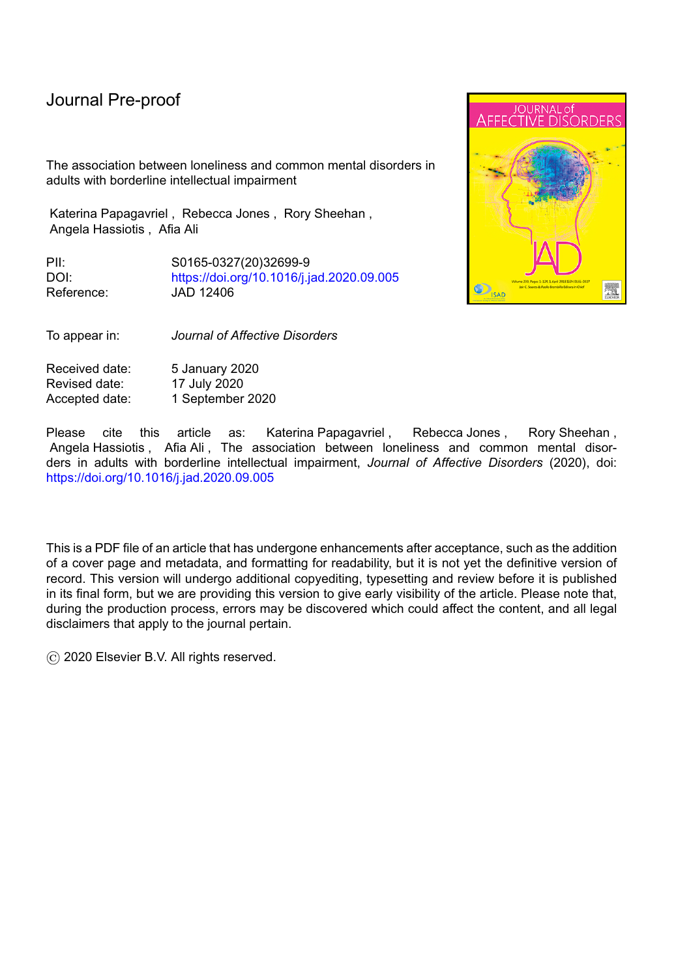# Journal Pre-proo

l

| No                    | 130 (25.2) |                         |         | 972 (18.0) |                        | < 0.001 |
|-----------------------|------------|-------------------------|---------|------------|------------------------|---------|
| Yes                   | 32(50.0)   | 2.36 (1.28 to<br>(4.35) | 0.006   | 233 (43.8) | 3.32 (2.67 to<br>4.12) |         |
| <b>Social support</b> |            | 0.76 (0.70 to<br>(0.83) | < 0.001 |            | 0.75(0.72)<br>(0.78)   | < 0.001 |

Journal Pricklout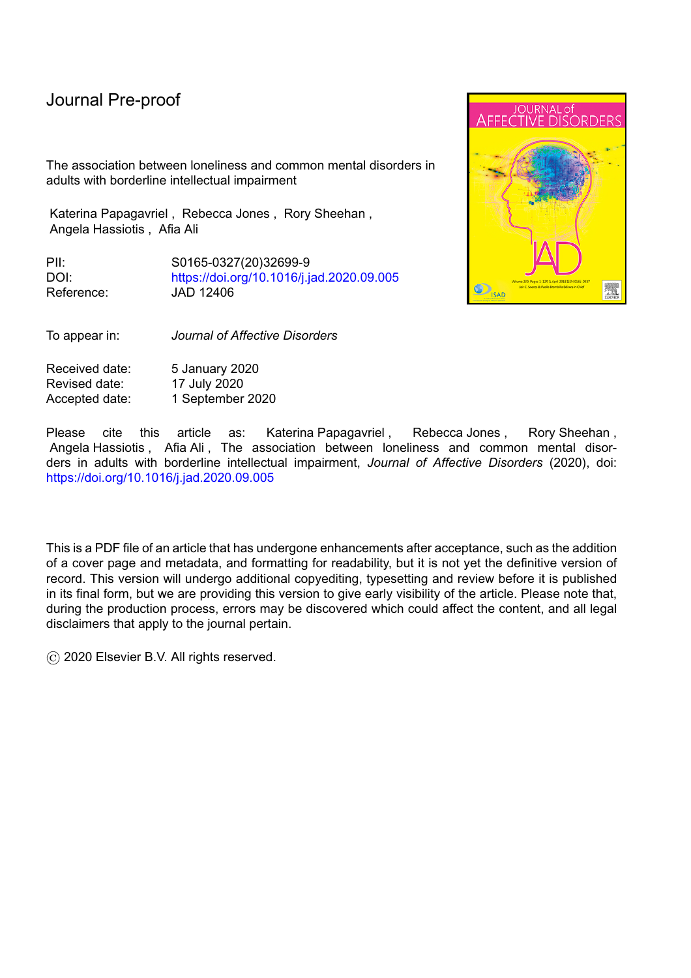|                                           | <b>Intellectual Impairment</b> |               |                          |         |             |
|-------------------------------------------|--------------------------------|---------------|--------------------------|---------|-------------|
|                                           | <b>Not lonely</b>              | Lonely        |                          |         | Not lo      |
|                                           | Mean (SD)                      | Mean (SD)     | Mean difference (95% CI) | p value | <b>Mean</b> |
| Wellbeing                                 | 52.76 (9.31)                   | 42.48 (11.06) | -9.86 (-12.08 to -7.64)  | < 0.001 | 54.41 (     |
|                                           | N (%)                          | N (%)         | OR (95% CI)*             | p value | $N($ %      |
| Depression                                | 6(1.4)                         | 27 (16.7)     | 10.73 (3.99 to 28.82)    | < 0.001 | 54(1)       |
| <b>Generalised Anxiety Disorder</b>       | 13(3.1)                        | 37(22.8)      | 11.01 (5.19 to 23.38)    | < 0.001 | 136 $(2)$   |
| Agoraphobia                               | 4(1.0)                         | 17 (10.5)     | 11.52 (3.26 to 40.71)    | < 0.001 | 23(0)       |
| Any Phobia                                | 4(1.0)                         | 25(15.4)      | 20.07 (5.95 to 67.70)    | < 0.001 | 35(0)       |
| Panic Disorder                            | 2(0.5)                         | 1(0.6)        | 0.82 (0.07 to 9.22)      | 0.873   | 17(0        |
| Suicidal thoughts in the last<br>week     | 2(0.5)                         | 8(4.9)        | 5.73 (1.13 to 29.00)     | 0.035   | 5(0.        |
| Suicidal thoughts in the last<br>year     | 8(1.9)                         | 33(20.4)      | 10.38 (4.19 to 25.72)    | < 0.001 | 86 (1       |
| Any chronic disease in the last<br>year   | 145 (34.8)                     | 69 (42.6)     | 1.68 (1.07 to 2.64)      | 0.023   | $1,468$ (   |
| Poor self-reported health<br>$\leftarrow$ | 117 (28.0)                     | 77 (47.5)     | 2.68 (1.70 to 4.23)      | < 0.001 | 739 (1      |

# **Table 3. Associations between loneliness and mental and physical health outcomes in people with borderline intellectual functioning and the general population**

l

**\* adjusted for age and sex**